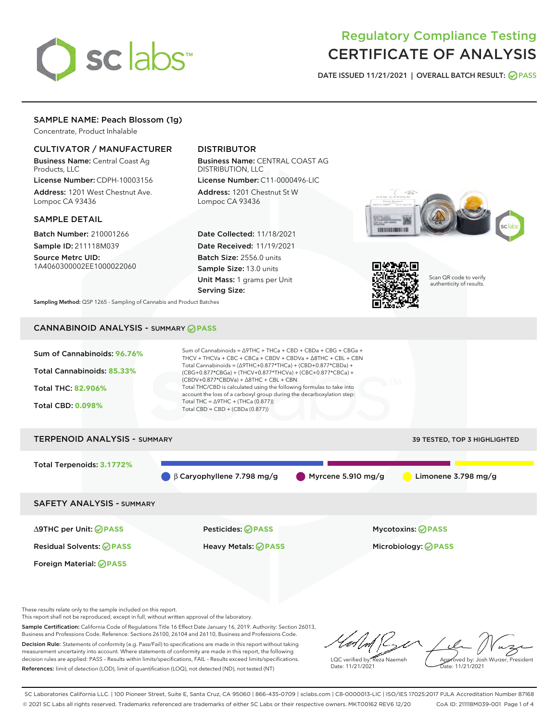

# Regulatory Compliance Testing CERTIFICATE OF ANALYSIS

DATE ISSUED 11/21/2021 | OVERALL BATCH RESULT: @ PASS

# SAMPLE NAME: Peach Blossom (1g)

Concentrate, Product Inhalable

# CULTIVATOR / MANUFACTURER

Business Name: Central Coast Ag Products, LLC

License Number: CDPH-10003156 Address: 1201 West Chestnut Ave. Lompoc CA 93436

#### SAMPLE DETAIL

Batch Number: 210001266 Sample ID: 211118M039

Source Metrc UID: 1A4060300002EE1000022060

# DISTRIBUTOR

Business Name: CENTRAL COAST AG DISTRIBUTION, LLC License Number: C11-0000496-LIC

Address: 1201 Chestnut St W Lompoc CA 93436

Date Collected: 11/18/2021 Date Received: 11/19/2021 Batch Size: 2556.0 units Sample Size: 13.0 units Unit Mass: 1 grams per Unit Serving Size:





Scan QR code to verify authenticity of results.

Sampling Method: QSP 1265 - Sampling of Cannabis and Product Batches

# CANNABINOID ANALYSIS - SUMMARY **PASS**



These results relate only to the sample included on this report.

This report shall not be reproduced, except in full, without written approval of the laboratory.

Sample Certification: California Code of Regulations Title 16 Effect Date January 16, 2019. Authority: Section 26013, Business and Professions Code. Reference: Sections 26100, 26104 and 26110, Business and Professions Code. Decision Rule: Statements of conformity (e.g. Pass/Fail) to specifications are made in this report without taking measurement uncertainty into account. Where statements of conformity are made in this report, the following

References: limit of detection (LOD), limit of quantification (LOQ), not detected (ND), not tested (NT)

decision rules are applied: PASS – Results within limits/specifications, FAIL – Results exceed limits/specifications.

LQC verified by: Reza Naemeh Date: 11/21/2021 Approved by: Josh Wurzer, President Date: 11/21/2021

SC Laboratories California LLC. | 100 Pioneer Street, Suite E, Santa Cruz, CA 95060 | 866-435-0709 | sclabs.com | C8-0000013-LIC | ISO/IES 17025:2017 PJLA Accreditation Number 87168 © 2021 SC Labs all rights reserved. Trademarks referenced are trademarks of either SC Labs or their respective owners. MKT00162 REV6 12/20 CoA ID: 211118M039-001 Page 1 of 4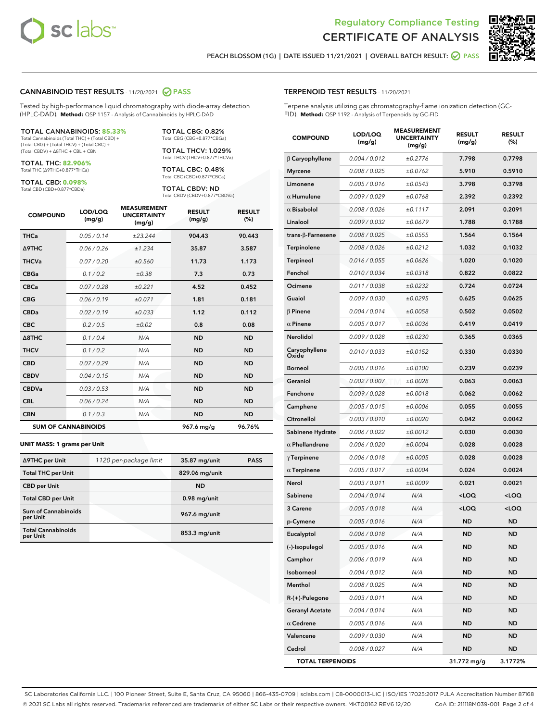



PEACH BLOSSOM (1G) | DATE ISSUED 11/21/2021 | OVERALL BATCH RESULT: **○** PASS

### CANNABINOID TEST RESULTS - 11/20/2021 2 PASS

Tested by high-performance liquid chromatography with diode-array detection (HPLC-DAD). **Method:** QSP 1157 - Analysis of Cannabinoids by HPLC-DAD

#### TOTAL CANNABINOIDS: **85.33%**

Total Cannabinoids (Total THC) + (Total CBD) + (Total CBG) + (Total THCV) + (Total CBC) + (Total CBDV) + ∆8THC + CBL + CBN

TOTAL THC: **82.906%** Total THC (∆9THC+0.877\*THCa)

TOTAL CBD: **0.098%**

Total CBD (CBD+0.877\*CBDa)

TOTAL CBG: 0.82% Total CBG (CBG+0.877\*CBGa)

TOTAL THCV: 1.029% Total THCV (THCV+0.877\*THCVa)

TOTAL CBC: 0.48% Total CBC (CBC+0.877\*CBCa)

TOTAL CBDV: ND Total CBDV (CBDV+0.877\*CBDVa)

| <b>COMPOUND</b>            | LOD/LOQ<br>(mg/g) | <b>MEASUREMENT</b><br><b>UNCERTAINTY</b><br>(mg/g) | <b>RESULT</b><br>(mg/g) | <b>RESULT</b><br>(%) |
|----------------------------|-------------------|----------------------------------------------------|-------------------------|----------------------|
| <b>THCa</b>                | 0.05/0.14         | ±23.244                                            | 904.43                  | 90.443               |
| <b>A9THC</b>               | 0.06 / 0.26       | ±1.234                                             | 35.87                   | 3.587                |
| <b>THCVa</b>               | 0.07 / 0.20       | ±0.560                                             | 11.73                   | 1.173                |
| <b>CBGa</b>                | 0.1/0.2           | ±0.38                                              | 7.3                     | 0.73                 |
| <b>CBCa</b>                | 0.07 / 0.28       | ±0.221                                             | 4.52                    | 0.452                |
| <b>CBG</b>                 | 0.06/0.19         | ±0.071                                             | 1.81                    | 0.181                |
| <b>CBDa</b>                | 0.02/0.19         | ±0.033                                             | 1.12                    | 0.112                |
| <b>CBC</b>                 | 0.2 / 0.5         | ±0.02                                              | 0.8                     | 0.08                 |
| A8THC                      | 0.1/0.4           | N/A                                                | <b>ND</b>               | <b>ND</b>            |
| <b>THCV</b>                | 0.1/0.2           | N/A                                                | <b>ND</b>               | <b>ND</b>            |
| <b>CBD</b>                 | 0.07/0.29         | N/A                                                | <b>ND</b>               | <b>ND</b>            |
| <b>CBDV</b>                | 0.04 / 0.15       | N/A                                                | <b>ND</b>               | <b>ND</b>            |
| <b>CBDVa</b>               | 0.03/0.53         | N/A                                                | <b>ND</b>               | <b>ND</b>            |
| <b>CBL</b>                 | 0.06 / 0.24       | N/A                                                | <b>ND</b>               | <b>ND</b>            |
| <b>CBN</b>                 | 0.1/0.3           | N/A                                                | <b>ND</b>               | <b>ND</b>            |
| <b>SUM OF CANNABINOIDS</b> |                   |                                                    | 967.6 mg/g              | 96.76%               |

#### **UNIT MASS: 1 grams per Unit**

| ∆9THC per Unit                         | 1120 per-package limit | 35.87 mg/unit   | <b>PASS</b> |
|----------------------------------------|------------------------|-----------------|-------------|
| <b>Total THC per Unit</b>              |                        | 829.06 mg/unit  |             |
| <b>CBD per Unit</b>                    |                        | <b>ND</b>       |             |
| <b>Total CBD per Unit</b>              |                        | $0.98$ mg/unit  |             |
| <b>Sum of Cannabinoids</b><br>per Unit |                        | 967.6 mg/unit   |             |
| <b>Total Cannabinoids</b><br>per Unit  |                        | $853.3$ mg/unit |             |

## TERPENOID TEST RESULTS - 11/20/2021

Terpene analysis utilizing gas chromatography-flame ionization detection (GC-FID). **Method:** QSP 1192 - Analysis of Terpenoids by GC-FID

| <b>COMPOUND</b>           | LOD/LOQ<br>(mg/g) | <b>MEASUREMENT</b><br><b>UNCERTAINTY</b><br>(mg/g) | <b>RESULT</b><br>(mg/g)                          | <b>RESULT</b><br>(%) |
|---------------------------|-------------------|----------------------------------------------------|--------------------------------------------------|----------------------|
| $\beta$ Caryophyllene     | 0.004 / 0.012     | ±0.2776                                            | 7.798                                            | 0.7798               |
| <b>Myrcene</b>            | 0.008 / 0.025     | ±0.0762                                            | 5.910                                            | 0.5910               |
| Limonene                  | 0.005 / 0.016     | ±0.0543                                            | 3.798                                            | 0.3798               |
| $\alpha$ Humulene         | 0.009 / 0.029     | ±0.0768                                            | 2.392                                            | 0.2392               |
| $\alpha$ Bisabolol        | 0.008 / 0.026     | ±0.1117                                            | 2.091                                            | 0.2091               |
| Linalool                  | 0.009 / 0.032     | ±0.0679                                            | 1.788                                            | 0.1788               |
| trans- $\beta$ -Farnesene | 0.008 / 0.025     | ±0.0555                                            | 1.564                                            | 0.1564               |
| <b>Terpinolene</b>        | 0.008 / 0.026     | ±0.0212                                            | 1.032                                            | 0.1032               |
| Terpineol                 | 0.016 / 0.055     | ±0.0626                                            | 1.020                                            | 0.1020               |
| Fenchol                   | 0.010 / 0.034     | ±0.0318                                            | 0.822                                            | 0.0822               |
| Ocimene                   | 0.011 / 0.038     | ±0.0232                                            | 0.724                                            | 0.0724               |
| Guaiol                    | 0.009 / 0.030     | ±0.0295                                            | 0.625                                            | 0.0625               |
| $\beta$ Pinene            | 0.004 / 0.014     | ±0.0058                                            | 0.502                                            | 0.0502               |
| $\alpha$ Pinene           | 0.005 / 0.017     | ±0.0036                                            | 0.419                                            | 0.0419               |
| Nerolidol                 | 0.009 / 0.028     | ±0.0230                                            | 0.365                                            | 0.0365               |
| Caryophyllene<br>Oxide    | 0.010 / 0.033     | ±0.0152                                            | 0.330                                            | 0.0330               |
| Borneol                   | 0.005 / 0.016     | ±0.0100                                            | 0.239                                            | 0.0239               |
| Geraniol                  | 0.002 / 0.007     | ±0.0028                                            | 0.063                                            | 0.0063               |
| Fenchone                  | 0.009 / 0.028     | ±0.0018                                            | 0.062                                            | 0.0062               |
| Camphene                  | 0.005 / 0.015     | ±0.0006                                            | 0.055                                            | 0.0055               |
| Citronellol               | 0.003 / 0.010     | ±0.0020                                            | 0.042                                            | 0.0042               |
| Sabinene Hydrate          | 0.006 / 0.022     | ±0.0012                                            | 0.030                                            | 0.0030               |
| $\alpha$ Phellandrene     | 0.006 / 0.020     | ±0.0004                                            | 0.028                                            | 0.0028               |
| $\gamma$ Terpinene        | 0.006 / 0.018     | ±0.0005                                            | 0.028                                            | 0.0028               |
| $\alpha$ Terpinene        | 0.005 / 0.017     | ±0.0004                                            | 0.024                                            | 0.0024               |
| Nerol                     | 0.003 / 0.011     | ±0.0009                                            | 0.021                                            | 0.0021               |
| Sabinene                  | 0.004 / 0.014     | N/A                                                | <loq< th=""><th><math>&lt;</math>LOQ</th></loq<> | $<$ LOQ              |
| 3 Carene                  | 0.005 / 0.018     | N/A                                                | <loq< th=""><th><loq< th=""></loq<></th></loq<>  | <loq< th=""></loq<>  |
| p-Cymene                  | 0.005 / 0.016     | N/A                                                | ND                                               | <b>ND</b>            |
| Eucalyptol                | 0.006 / 0.018     | N/A                                                | ND                                               | <b>ND</b>            |
| (-)-Isopulegol            | 0.005 / 0.016     | N/A                                                | ND                                               | ND                   |
| Camphor                   | 0.006 / 0.019     | N/A                                                | ND                                               | ND                   |
| Isoborneol                | 0.004 / 0.012     | N/A                                                | ND                                               | ND                   |
| Menthol                   | 0.008 / 0.025     | N/A                                                | ND                                               | ND                   |
| R-(+)-Pulegone            | 0.003 / 0.011     | N/A                                                | ND                                               | ND                   |
| <b>Geranyl Acetate</b>    | 0.004 / 0.014     | N/A                                                | ND                                               | ND                   |
| $\alpha$ Cedrene          | 0.005 / 0.016     | N/A                                                | ND                                               | ND                   |
| Valencene                 | 0.009 / 0.030     | N/A                                                | ND                                               | ND                   |
| Cedrol                    | 0.008 / 0.027     | N/A                                                | <b>ND</b>                                        | ND                   |
| <b>TOTAL TERPENOIDS</b>   |                   |                                                    | 31.772 mg/g                                      | 3.1772%              |

SC Laboratories California LLC. | 100 Pioneer Street, Suite E, Santa Cruz, CA 95060 | 866-435-0709 | sclabs.com | C8-0000013-LIC | ISO/IES 17025:2017 PJLA Accreditation Number 87168 © 2021 SC Labs all rights reserved. Trademarks referenced are trademarks of either SC Labs or their respective owners. MKT00162 REV6 12/20 CoA ID: 211118M039-001 Page 2 of 4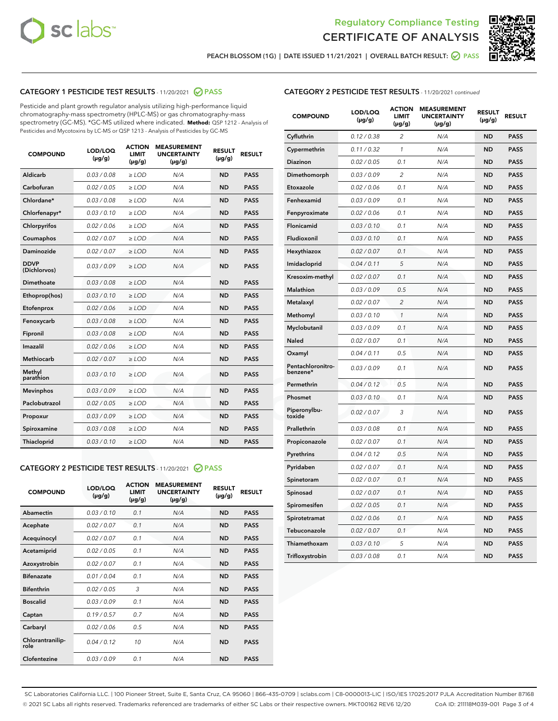



PEACH BLOSSOM (1G) | DATE ISSUED 11/21/2021 | OVERALL BATCH RESULT:  $\bigcirc$  PASS

# CATEGORY 1 PESTICIDE TEST RESULTS - 11/20/2021 2 PASS

Pesticide and plant growth regulator analysis utilizing high-performance liquid chromatography-mass spectrometry (HPLC-MS) or gas chromatography-mass spectrometry (GC-MS). \*GC-MS utilized where indicated. **Method:** QSP 1212 - Analysis of Pesticides and Mycotoxins by LC-MS or QSP 1213 - Analysis of Pesticides by GC-MS

| <b>COMPOUND</b>             | LOD/LOQ<br>$(\mu g/g)$ | <b>ACTION</b><br><b>LIMIT</b><br>$(\mu g/g)$ | <b>MEASUREMENT</b><br><b>UNCERTAINTY</b><br>$(\mu g/g)$ | <b>RESULT</b><br>$(\mu g/g)$ | <b>RESULT</b> |
|-----------------------------|------------------------|----------------------------------------------|---------------------------------------------------------|------------------------------|---------------|
| Aldicarb                    | 0.03/0.08              | $\ge$ LOD                                    | N/A                                                     | <b>ND</b>                    | <b>PASS</b>   |
| Carbofuran                  | 0.02/0.05              | $>$ LOD                                      | N/A                                                     | <b>ND</b>                    | <b>PASS</b>   |
| Chlordane*                  | 0.03 / 0.08            | $\ge$ LOD                                    | N/A                                                     | <b>ND</b>                    | <b>PASS</b>   |
| Chlorfenapyr*               | 0.03/0.10              | $\ge$ LOD                                    | N/A                                                     | <b>ND</b>                    | <b>PASS</b>   |
| Chlorpyrifos                | 0.02 / 0.06            | $\ge$ LOD                                    | N/A                                                     | <b>ND</b>                    | <b>PASS</b>   |
| Coumaphos                   | 0.02 / 0.07            | $>$ LOD                                      | N/A                                                     | <b>ND</b>                    | <b>PASS</b>   |
| Daminozide                  | 0.02/0.07              | $>$ LOD                                      | N/A                                                     | <b>ND</b>                    | <b>PASS</b>   |
| <b>DDVP</b><br>(Dichlorvos) | 0.03/0.09              | $\ge$ LOD                                    | N/A                                                     | <b>ND</b>                    | <b>PASS</b>   |
| Dimethoate                  | 0.03 / 0.08            | $\ge$ LOD                                    | N/A                                                     | <b>ND</b>                    | <b>PASS</b>   |
| Ethoprop(hos)               | 0.03/0.10              | $>$ LOD                                      | N/A                                                     | <b>ND</b>                    | <b>PASS</b>   |
| Etofenprox                  | 0.02 / 0.06            | $\ge$ LOD                                    | N/A                                                     | <b>ND</b>                    | <b>PASS</b>   |
| Fenoxycarb                  | 0.03 / 0.08            | $\ge$ LOD                                    | N/A                                                     | <b>ND</b>                    | <b>PASS</b>   |
| Fipronil                    | 0.03/0.08              | $\ge$ LOD                                    | N/A                                                     | <b>ND</b>                    | <b>PASS</b>   |
| Imazalil                    | 0.02 / 0.06            | $\ge$ LOD                                    | N/A                                                     | <b>ND</b>                    | <b>PASS</b>   |
| <b>Methiocarb</b>           | 0.02 / 0.07            | $\ge$ LOD                                    | N/A                                                     | <b>ND</b>                    | <b>PASS</b>   |
| Methyl<br>parathion         | 0.03/0.10              | $\ge$ LOD                                    | N/A                                                     | <b>ND</b>                    | <b>PASS</b>   |
| <b>Mevinphos</b>            | 0.03/0.09              | $>$ LOD                                      | N/A                                                     | <b>ND</b>                    | <b>PASS</b>   |
| Paclobutrazol               | 0.02 / 0.05            | $\ge$ LOD                                    | N/A                                                     | <b>ND</b>                    | <b>PASS</b>   |
| Propoxur                    | 0.03/0.09              | $\ge$ LOD                                    | N/A                                                     | <b>ND</b>                    | <b>PASS</b>   |
| Spiroxamine                 | 0.03 / 0.08            | $\ge$ LOD                                    | N/A                                                     | <b>ND</b>                    | <b>PASS</b>   |
| Thiacloprid                 | 0.03/0.10              | $\ge$ LOD                                    | N/A                                                     | <b>ND</b>                    | <b>PASS</b>   |

# CATEGORY 2 PESTICIDE TEST RESULTS - 11/20/2021 @ PASS

| <b>COMPOUND</b>          | LOD/LOQ<br>$(\mu g/g)$ | <b>ACTION</b><br><b>LIMIT</b><br>$(\mu g/g)$ | <b>MEASUREMENT</b><br><b>UNCERTAINTY</b><br>$(\mu g/g)$ | <b>RESULT</b><br>$(\mu g/g)$ | <b>RESULT</b> |
|--------------------------|------------------------|----------------------------------------------|---------------------------------------------------------|------------------------------|---------------|
| Abamectin                | 0.03/0.10              | 0.1                                          | N/A                                                     | <b>ND</b>                    | <b>PASS</b>   |
| Acephate                 | 0.02/0.07              | 0.1                                          | N/A                                                     | <b>ND</b>                    | <b>PASS</b>   |
| Acequinocyl              | 0.02/0.07              | 0.1                                          | N/A                                                     | <b>ND</b>                    | <b>PASS</b>   |
| Acetamiprid              | 0.02/0.05              | 0.1                                          | N/A                                                     | <b>ND</b>                    | <b>PASS</b>   |
| Azoxystrobin             | 0.02/0.07              | 0.1                                          | N/A                                                     | <b>ND</b>                    | <b>PASS</b>   |
| <b>Bifenazate</b>        | 0.01/0.04              | 0.1                                          | N/A                                                     | <b>ND</b>                    | <b>PASS</b>   |
| <b>Bifenthrin</b>        | 0.02/0.05              | 3                                            | N/A                                                     | <b>ND</b>                    | <b>PASS</b>   |
| <b>Boscalid</b>          | 0.03/0.09              | 0.1                                          | N/A                                                     | <b>ND</b>                    | <b>PASS</b>   |
| Captan                   | 0.19/0.57              | 0.7                                          | N/A                                                     | <b>ND</b>                    | <b>PASS</b>   |
| Carbaryl                 | 0.02/0.06              | 0.5                                          | N/A                                                     | <b>ND</b>                    | <b>PASS</b>   |
| Chlorantranilip-<br>role | 0.04/0.12              | 10                                           | N/A                                                     | <b>ND</b>                    | <b>PASS</b>   |
| Clofentezine             | 0.03/0.09              | 0.1                                          | N/A                                                     | <b>ND</b>                    | <b>PASS</b>   |

# CATEGORY 2 PESTICIDE TEST RESULTS - 11/20/2021 continued

| <b>COMPOUND</b>               | LOD/LOQ<br>(µg/g) | <b>ACTION</b><br>LIMIT<br>$(\mu g/g)$ | <b>MEASUREMENT</b><br><b>UNCERTAINTY</b><br>$(\mu g/g)$ | <b>RESULT</b><br>(µg/g) | <b>RESULT</b> |
|-------------------------------|-------------------|---------------------------------------|---------------------------------------------------------|-------------------------|---------------|
| Cyfluthrin                    | 0.12 / 0.38       | $\overline{c}$                        | N/A                                                     | ND                      | <b>PASS</b>   |
| Cypermethrin                  | 0.11 / 0.32       | $\mathcal{I}$                         | N/A                                                     | ND                      | PASS          |
| <b>Diazinon</b>               | 0.02 / 0.05       | 0.1                                   | N/A                                                     | <b>ND</b>               | <b>PASS</b>   |
| Dimethomorph                  | 0.03 / 0.09       | $\overline{c}$                        | N/A                                                     | ND                      | <b>PASS</b>   |
| Etoxazole                     | 0.02 / 0.06       | 0.1                                   | N/A                                                     | ND                      | <b>PASS</b>   |
| Fenhexamid                    | 0.03 / 0.09       | 0.1                                   | N/A                                                     | <b>ND</b>               | <b>PASS</b>   |
| Fenpyroximate                 | 0.02 / 0.06       | 0.1                                   | N/A                                                     | <b>ND</b>               | <b>PASS</b>   |
| Flonicamid                    | 0.03 / 0.10       | 0.1                                   | N/A                                                     | ND                      | PASS          |
| Fludioxonil                   | 0.03 / 0.10       | 0.1                                   | N/A                                                     | ND                      | <b>PASS</b>   |
| Hexythiazox                   | 0.02 / 0.07       | 0.1                                   | N/A                                                     | ND                      | <b>PASS</b>   |
| Imidacloprid                  | 0.04 / 0.11       | 5                                     | N/A                                                     | ND                      | PASS          |
| Kresoxim-methyl               | 0.02 / 0.07       | 0.1                                   | N/A                                                     | ND                      | <b>PASS</b>   |
| <b>Malathion</b>              | 0.03 / 0.09       | 0.5                                   | N/A                                                     | <b>ND</b>               | <b>PASS</b>   |
| Metalaxyl                     | 0.02 / 0.07       | $\overline{c}$                        | N/A                                                     | ND                      | <b>PASS</b>   |
| Methomyl                      | 0.03 / 0.10       | 1                                     | N/A                                                     | <b>ND</b>               | <b>PASS</b>   |
| Myclobutanil                  | 0.03 / 0.09       | 0.1                                   | N/A                                                     | ND                      | <b>PASS</b>   |
| Naled                         | 0.02 / 0.07       | 0.1                                   | N/A                                                     | ND                      | <b>PASS</b>   |
| Oxamyl                        | 0.04 / 0.11       | 0.5                                   | N/A                                                     | ND                      | <b>PASS</b>   |
| Pentachloronitro-<br>benzene* | 0.03 / 0.09       | 0.1                                   | N/A                                                     | ND                      | <b>PASS</b>   |
| Permethrin                    | 0.04 / 0.12       | 0.5                                   | N/A                                                     | ND                      | <b>PASS</b>   |
| Phosmet                       | 0.03 / 0.10       | 0.1                                   | N/A                                                     | ND                      | <b>PASS</b>   |
| Piperonylbu-<br>toxide        | 0.02 / 0.07       | 3                                     | N/A                                                     | <b>ND</b>               | <b>PASS</b>   |
| Prallethrin                   | 0.03 / 0.08       | 0.1                                   | N/A                                                     | ND                      | <b>PASS</b>   |
| Propiconazole                 | 0.02 / 0.07       | 0.1                                   | N/A                                                     | ND                      | <b>PASS</b>   |
| Pyrethrins                    | 0.04 / 0.12       | 0.5                                   | N/A                                                     | ND                      | <b>PASS</b>   |
| Pyridaben                     | 0.02 / 0.07       | 0.1                                   | N/A                                                     | ND                      | <b>PASS</b>   |
| Spinetoram                    | 0.02 / 0.07       | 0.1                                   | N/A                                                     | ND                      | <b>PASS</b>   |
| Spinosad                      | 0.02 / 0.07       | 0.1                                   | N/A                                                     | ND                      | <b>PASS</b>   |
| Spiromesifen                  | 0.02 / 0.05       | 0.1                                   | N/A                                                     | <b>ND</b>               | <b>PASS</b>   |
| Spirotetramat                 | 0.02 / 0.06       | 0.1                                   | N/A                                                     | ND                      | <b>PASS</b>   |
| Tebuconazole                  | 0.02 / 0.07       | 0.1                                   | N/A                                                     | ND                      | PASS          |
| Thiamethoxam                  | 0.03 / 0.10       | 5                                     | N/A                                                     | ND                      | <b>PASS</b>   |
| Trifloxystrobin               | 0.03 / 0.08       | 0.1                                   | N/A                                                     | <b>ND</b>               | <b>PASS</b>   |

SC Laboratories California LLC. | 100 Pioneer Street, Suite E, Santa Cruz, CA 95060 | 866-435-0709 | sclabs.com | C8-0000013-LIC | ISO/IES 17025:2017 PJLA Accreditation Number 87168 © 2021 SC Labs all rights reserved. Trademarks referenced are trademarks of either SC Labs or their respective owners. MKT00162 REV6 12/20 CoA ID: 211118M039-001 Page 3 of 4